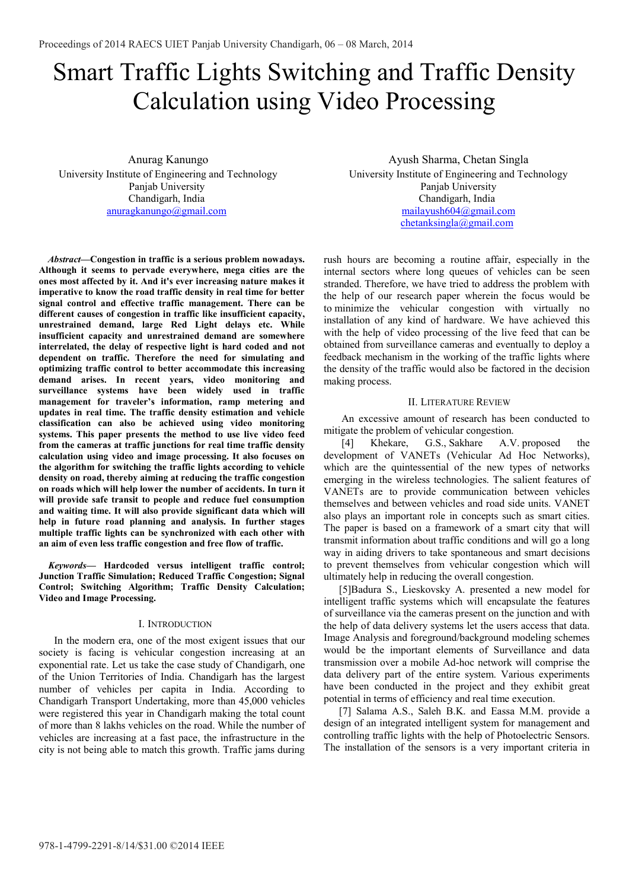# Smart Traffic Lights Switching and Traffic Density Calculation using Video Processing

 Anurag Kanungo University Institute of Engineering and Technology Panjab University Chandigarh, India anuragkanungo@gmail.com

*Abstract***—Congestion in traffic is a serious problem nowadays. Although it seems to pervade everywhere, mega cities are the ones most affected by it. And it's ever increasing nature makes it imperative to know the road traffic density in real time for better signal control and effective traffic management. There can be different causes of congestion in traffic like insufficient capacity, unrestrained demand, large Red Light delays etc. While insufficient capacity and unrestrained demand are somewhere interrelated, the delay of respective light is hard coded and not dependent on traffic. Therefore the need for simulating and optimizing traffic control to better accommodate this increasing demand arises. In recent years, video monitoring and surveillance systems have been widely used in traffic management for traveler's information, ramp metering and updates in real time. The traffic density estimation and vehicle classification can also be achieved using video monitoring systems. This paper presents the method to use live video feed from the cameras at traffic junctions for real time traffic density calculation using video and image processing. It also focuses on the algorithm for switching the traffic lights according to vehicle density on road, thereby aiming at reducing the traffic congestion on roads which will help lower the number of accidents. In turn it will provide safe transit to people and reduce fuel consumption and waiting time. It will also provide significant data which will help in future road planning and analysis. In further stages multiple traffic lights can be synchronized with each other with an aim of even less traffic congestion and free flow of traffic.** 

*Keywords***— Hardcoded versus intelligent traffic control; Junction Traffic Simulation; Reduced Traffic Congestion; Signal Control; Switching Algorithm; Traffic Density Calculation; Video and Image Processing.** 

## I. INTRODUCTION

In the modern era, one of the most exigent issues that our society is facing is vehicular congestion increasing at an exponential rate. Let us take the case study of Chandigarh, one of the Union Territories of India. Chandigarh has the largest number of vehicles per capita in India. According to Chandigarh Transport Undertaking, more than 45,000 vehicles were registered this year in Chandigarh making the total count of more than 8 lakhs vehicles on the road. While the number of vehicles are increasing at a fast pace, the infrastructure in the city is not being able to match this growth. Traffic jams during

 Ayush Sharma, Chetan Singla University Institute of Engineering and Technology Panjab University Chandigarh, India mailayush604@gmail.com chetanksingla@gmail.com

rush hours are becoming a routine affair, especially in the internal sectors where long queues of vehicles can be seen stranded. Therefore, we have tried to address the problem with the help of our research paper wherein the focus would be to minimize the vehicular congestion with virtually no installation of any kind of hardware. We have achieved this with the help of video processing of the live feed that can be obtained from surveillance cameras and eventually to deploy a feedback mechanism in the working of the traffic lights where the density of the traffic would also be factored in the decision making process.

## II. LITERATURE REVIEW

An excessive amount of research has been conducted to mitigate the problem of vehicular congestion.

 [4] Khekare, G.S., Sakhare A.V. proposed the development of VANETs (Vehicular Ad Hoc Networks), which are the quintessential of the new types of networks emerging in the wireless technologies. The salient features of VANETs are to provide communication between vehicles themselves and between vehicles and road side units. VANET also plays an important role in concepts such as smart cities. The paper is based on a framework of a smart city that will transmit information about traffic conditions and will go a long way in aiding drivers to take spontaneous and smart decisions to prevent themselves from vehicular congestion which will ultimately help in reducing the overall congestion.

[5]Badura S., Lieskovsky A. presented a new model for intelligent traffic systems which will encapsulate the features of surveillance via the cameras present on the junction and with the help of data delivery systems let the users access that data. Image Analysis and foreground/background modeling schemes would be the important elements of Surveillance and data transmission over a mobile Ad-hoc network will comprise the data delivery part of the entire system. Various experiments have been conducted in the project and they exhibit great potential in terms of efficiency and real time execution.

[7] Salama A.S., Saleh B.K. and Eassa M.M. provide a design of an integrated intelligent system for management and controlling traffic lights with the help of Photoelectric Sensors. The installation of the sensors is a very important criteria in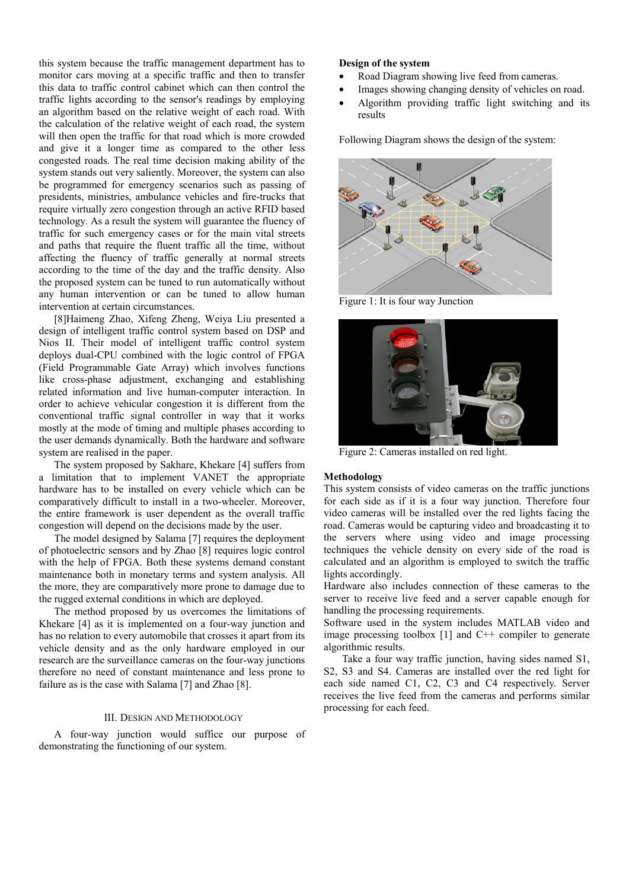this system because the traffic management department has to monitor cars moving at a specific traffic and then to transfer this data to traffic control cabinet which can then control the traffic lights according to the sensor's readings by employing an algorithm based on the relative weight of each road. With the calculation of the relative weight of each road, the system will then open the traffic for that road which is more crowded and give it a longer time as compared to the other less congested roads. The real time decision making ability of the system stands out very saliently. Moreover, the system can also be programmed for emergency scenarios such as passing of presidents, ministries, ambulance vehicles and fire-trucks that require virtually zero congestion through an active RFID based technology. As a result the system will guarantee the fluency of traffic for such emergency cases or for the main vital streets and paths that require the fluent traffic all the time, without affecting the fluency of traffic generally at normal streets according to the time of the day and the traffic density. Also the proposed system can be tuned to run automatically without any human intervention or can be tuned to allow human intervention at certain circumstances.

[8]Haimeng Zhao, Xifeng Zheng, Weiya Liu presented a design of intelligent traffic control system based on DSP and Nios II. Their model of intelligent traffic control system deploys dual-CPU combined with the logic control of FPGA (Field Programmable Gate Array) which involves functions like cross-phase adjustment, exchanging and establishing related information and live human-computer interaction. In order to achieve vehicular congestion it is different from the conventional traffic signal controller in way that it works mostly at the mode of timing and multiple phases according to the user demands dynamically. Both the hardware and software system are realised in the paper.

The system proposed by Sakhare, Khekare [4] suffers from a limitation that to implement VANET the appropriate hardware has to be installed on every vehicle which can be comparatively difficult to install in a two-wheeler. Moreover, the entire framework is user dependent as the overall traffic congestion will depend on the decisions made by the user.

The model designed by Salama [7] requires the deployment of photoelectric sensors and by Zhao [8] requires logic control with the help of FPGA. Both these systems demand constant maintenance both in monetary terms and system analysis. All the more, they are comparatively more prone to damage due to the rugged external conditions in which are deployed.

The method proposed by us overcomes the limitations of Khekare [4] as it is implemented on a four-way junction and has no relation to every automobile that crosses it apart from its vehicle density and as the only hardware employed in our research are the surveillance cameras on the four-way junctions therefore no need of constant maintenance and less prone to failure as is the case with Salama [7] and Zhao [8].

#### III. DESIGN AND METHODOLOGY

A four-way junction would suffice our purpose of demonstrating the functioning of our system.

## **Design of the system**

- Road Diagram showing live feed from cameras.
- Images showing changing density of vehicles on road.
- Algorithm providing traffic light switching and its results

Following Diagram shows the design of the system:



Figure 1: It is four way Junction



Figure 2: Cameras installed on red light.

## **Methodology**

This system consists of video cameras on the traffic junctions for each side as if it is a four way junction. Therefore four video cameras will be installed over the red lights facing the road. Cameras would be capturing video and broadcasting it to the servers where using video and image processing techniques the vehicle density on every side of the road is calculated and an algorithm is employed to switch the traffic lights accordingly.

Hardware also includes connection of these cameras to the server to receive live feed and a server capable enough for handling the processing requirements.

Software used in the system includes MATLAB video and image processing toolbox  $[1]$  and  $C++$  compiler to generate algorithmic results.

 Take a four way traffic junction, having sides named S1, S2, S3 and S4. Cameras are installed over the red light for each side named C1, C2, C3 and C4 respectively. Server receives the live feed from the cameras and performs similar processing for each feed.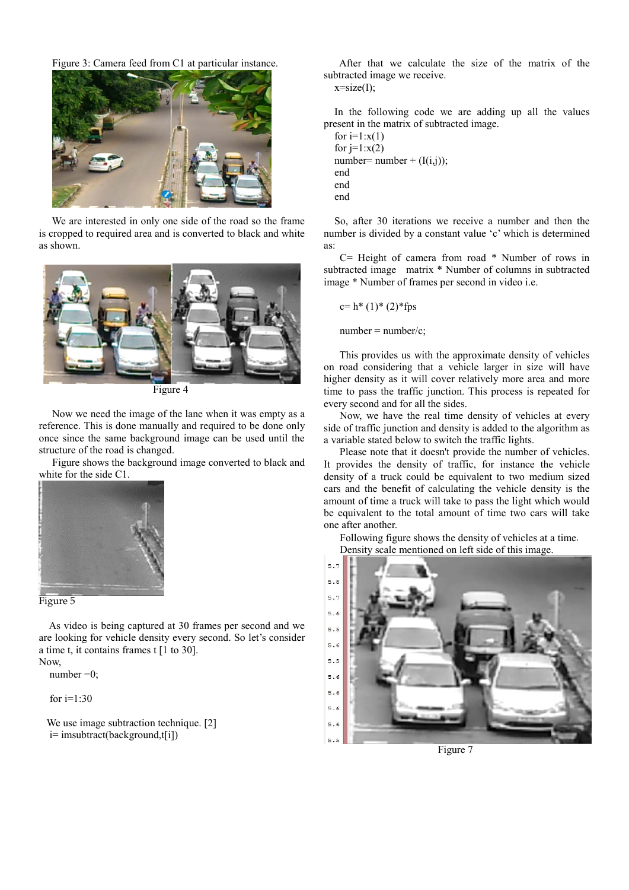Figure 3: Camera feed from C1 at particular instance.



 We are interested in only one side of the road so the frame is cropped to required area and is converted to black and white as shown.



Figure 4

 Now we need the image of the lane when it was empty as a reference. This is done manually and required to be done only once since the same background image can be used until the structure of the road is changed.

 Figure shows the background image converted to black and white for the side C1.





 As video is being captured at 30 frames per second and we are looking for vehicle density every second. So let's consider a time t, it contains frames t [1 to 30]. Now,

number  $=0$ ;

for  $i=1:30$ 

 We use image subtraction technique. [2] i= imsubtract(background,t[i])

 After that we calculate the size of the matrix of the subtracted image we receive.

 $x=size(I)$ ;

 In the following code we are adding up all the values present in the matrix of subtracted image.

for  $i=1:x(1)$ for  $j=1:x(2)$ number = number +  $(I(i,j))$ ; end end end

 So, after 30 iterations we receive a number and then the number is divided by a constant value 'c' which is determined as:

 C= Height of camera from road \* Number of rows in subtracted image matrix \* Number of columns in subtracted image \* Number of frames per second in video i.e.

 $c=h*(1)*(2)*fps$ 

 $number = number/c$ ;

 This provides us with the approximate density of vehicles on road considering that a vehicle larger in size will have higher density as it will cover relatively more area and more time to pass the traffic junction. This process is repeated for every second and for all the sides.

 Now, we have the real time density of vehicles at every side of traffic junction and density is added to the algorithm as a variable stated below to switch the traffic lights.

 Please note that it doesn't provide the number of vehicles. It provides the density of traffic, for instance the vehicle density of a truck could be equivalent to two medium sized cars and the benefit of calculating the vehicle density is the amount of time a truck will take to pass the light which would be equivalent to the total amount of time two cars will take one after another.

 Following figure shows the density of vehicles at a time. Density scale mentioned on left side of this image.



Figure 7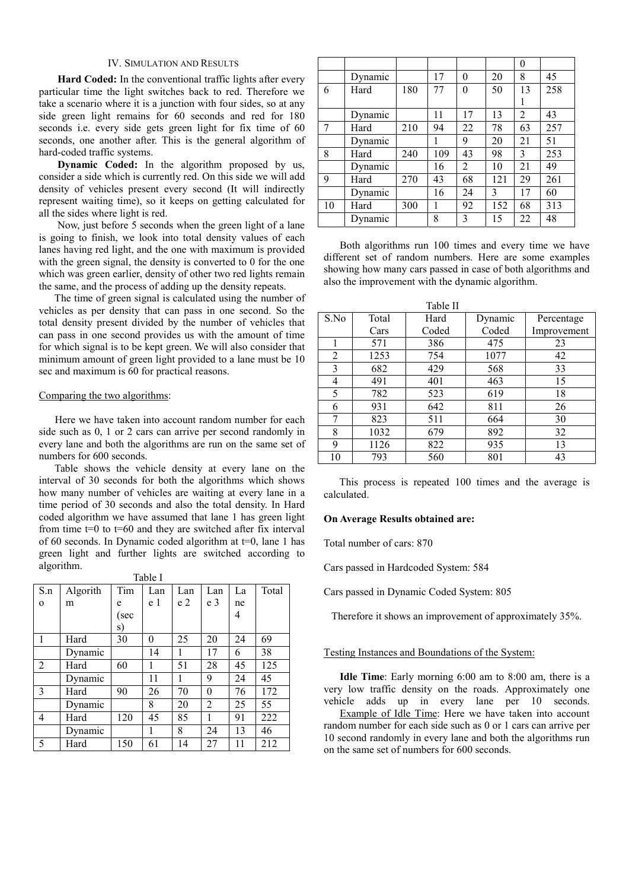# IV. SIMULATION AND RESULTS

 **Hard Coded:** In the conventional traffic lights after every particular time the light switches back to red. Therefore we take a scenario where it is a junction with four sides, so at any side green light remains for 60 seconds and red for 180 seconds i.e. every side gets green light for fix time of 60 seconds, one another after. This is the general algorithm of hard-coded traffic systems.

 **Dynamic Coded:** In the algorithm proposed by us, consider a side which is currently red. On this side we will add density of vehicles present every second (It will indirectly represent waiting time), so it keeps on getting calculated for all the sides where light is red.

 Now, just before 5 seconds when the green light of a lane is going to finish, we look into total density values of each lanes having red light, and the one with maximum is provided with the green signal, the density is converted to 0 for the one which was green earlier, density of other two red lights remain the same, and the process of adding up the density repeats.

 The time of green signal is calculated using the number of vehicles as per density that can pass in one second. So the total density present divided by the number of vehicles that can pass in one second provides us with the amount of time for which signal is to be kept green. We will also consider that minimum amount of green light provided to a lane must be 10 sec and maximum is 60 for practical reasons.

## Comparing the two algorithms:

 Here we have taken into account random number for each side such as 0, 1 or 2 cars can arrive per second randomly in every lane and both the algorithms are run on the same set of numbers for 600 seconds.

 Table shows the vehicle density at every lane on the interval of 30 seconds for both the algorithms which shows how many number of vehicles are waiting at every lane in a time period of 30 seconds and also the total density. In Hard coded algorithm we have assumed that lane 1 has green light from time  $t=0$  to  $t=60$  and they are switched after fix interval of 60 seconds. In Dynamic coded algorithm at t=0, lane 1 has green light and further lights are switched according to algorithm.

| S.n      | Algorith | Tim  | Lan      | Lan            | Lan            | La | Total |
|----------|----------|------|----------|----------------|----------------|----|-------|
| $\Omega$ | m        | e    | e 1      | e <sub>2</sub> | e <sub>3</sub> | ne |       |
|          |          | (sec |          |                |                | 4  |       |
|          |          | s)   |          |                |                |    |       |
| 1        | Hard     | 30   | $\theta$ | 25             | 20             | 24 | 69    |
|          | Dynamic  |      | 14       | 1              | 17             | 6  | 38    |
| 2        | Hard     | 60   | 1        | 51             | 28             | 45 | 125   |
|          | Dynamic  |      | 11       | 1              | 9              | 24 | 45    |
| 3        | Hard     | 90   | 26       | 70             | 0              | 76 | 172   |
|          | Dynamic  |      | 8        | 20             | $\mathfrak{D}$ | 25 | 55    |
| 4        | Hard     | 120  | 45       | 85             | 1              | 91 | 222   |
|          | Dynamic  |      | 1        | 8              | 24             | 13 | 46    |
| 5        | Hard     | 150  | 61       | 14             | 27             | 11 | 212   |

|    |         |     |     |                |     | $\theta$       |     |
|----|---------|-----|-----|----------------|-----|----------------|-----|
|    | Dynamic |     | 17  | 0              | 20  | 8              | 45  |
| 6  | Hard    | 180 | 77  | 0              | 50  | 13             | 258 |
|    |         |     |     |                |     | 1              |     |
|    | Dynamic |     | 11  | 17             | 13  | $\overline{2}$ | 43  |
|    | Hard    | 210 | 94  | 22             | 78  | 63             | 257 |
|    | Dynamic |     | 1   | 9              | 20  | 21             | 51  |
| 8  | Hard    | 240 | 109 | 43             | 98  | 3              | 253 |
|    | Dynamic |     | 16  | $\overline{2}$ | 10  | 21             | 49  |
| 9  | Hard    | 270 | 43  | 68             | 121 | 29             | 261 |
|    | Dynamic |     | 16  | 24             | 3   | 17             | 60  |
| 10 | Hard    | 300 | 1   | 92             | 152 | 68             | 313 |
|    | Dynamic |     | 8   | 3              | 15  | 22             | 48  |

 Both algorithms run 100 times and every time we have different set of random numbers. Here are some examples showing how many cars passed in case of both algorithms and also the improvement with the dynamic algorithm.

| Table II       |       |                 |       |             |  |  |
|----------------|-------|-----------------|-------|-------------|--|--|
| S.No           | Total | Hard<br>Dynamic |       | Percentage  |  |  |
|                | Cars  | Coded           | Coded | Improvement |  |  |
|                | 571   | 386             | 475   | 23          |  |  |
| $\overline{2}$ | 1253  | 754             | 1077  | 42          |  |  |
| 3              | 682   | 429             | 568   | 33          |  |  |
| 4              | 491   | 401             | 463   | 15          |  |  |
| 5              | 782   | 523             | 619   | 18          |  |  |
| 6              | 931   | 642             | 811   | 26          |  |  |
| 7              | 823   | 511             | 664   | 30          |  |  |
| 8              | 1032  | 679             | 892   | 32          |  |  |
| 9              | 1126  | 822             | 935   | 13          |  |  |
| 10             | 793   | 560             | 801   | 43          |  |  |

 This process is repeated 100 times and the average is calculated.

## **On Average Results obtained are:**

Total number of cars: 870

Cars passed in Hardcoded System: 584

Cars passed in Dynamic Coded System: 805

Therefore it shows an improvement of approximately 35%.

## Testing Instances and Boundations of the System:

 **Idle Time**: Early morning 6:00 am to 8:00 am, there is a very low traffic density on the roads. Approximately one vehicle adds up in every lane per 10 seconds.

 Example of Idle Time: Here we have taken into account random number for each side such as 0 or 1 cars can arrive per 10 second randomly in every lane and both the algorithms run on the same set of numbers for 600 seconds.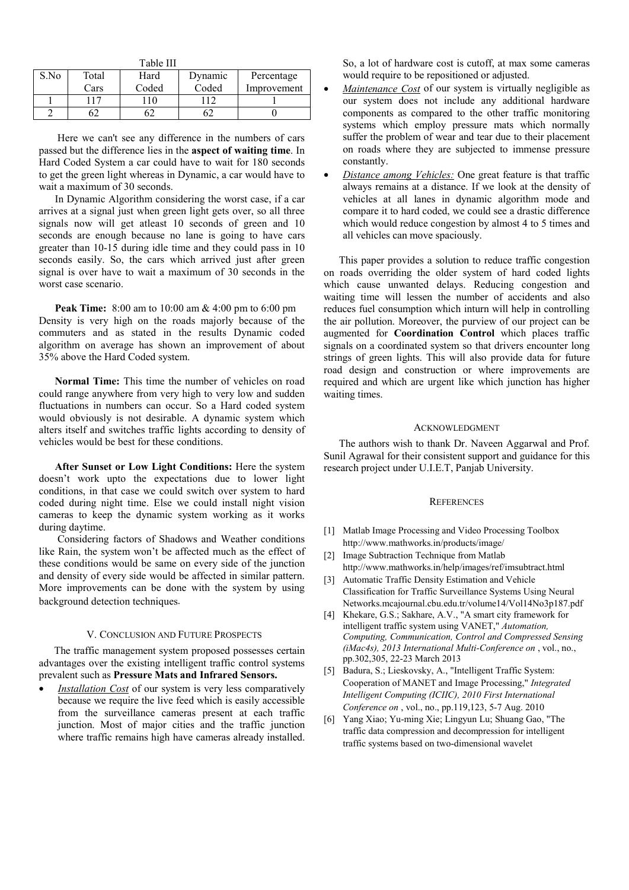| Table III |       |       |         |             |  |  |
|-----------|-------|-------|---------|-------------|--|--|
| S.No      | Total | Hard  | Dynamic | Percentage  |  |  |
|           | Cars  | Coded | Coded   | Improvement |  |  |
|           | 117   | 10    | 12      |             |  |  |
|           |       |       |         |             |  |  |

 Here we can't see any difference in the numbers of cars passed but the difference lies in the **aspect of waiting time**. In Hard Coded System a car could have to wait for 180 seconds to get the green light whereas in Dynamic, a car would have to wait a maximum of 30 seconds.

 In Dynamic Algorithm considering the worst case, if a car arrives at a signal just when green light gets over, so all three signals now will get atleast 10 seconds of green and 10 seconds are enough because no lane is going to have cars greater than 10-15 during idle time and they could pass in 10 seconds easily. So, the cars which arrived just after green signal is over have to wait a maximum of 30 seconds in the worst case scenario.

 **Peak Time:** 8:00 am to 10:00 am & 4:00 pm to 6:00 pm Density is very high on the roads majorly because of the commuters and as stated in the results Dynamic coded algorithm on average has shown an improvement of about 35% above the Hard Coded system.

 **Normal Time:** This time the number of vehicles on road could range anywhere from very high to very low and sudden fluctuations in numbers can occur. So a Hard coded system would obviously is not desirable. A dynamic system which alters itself and switches traffic lights according to density of vehicles would be best for these conditions.

 **After Sunset or Low Light Conditions:** Here the system doesn't work upto the expectations due to lower light conditions, in that case we could switch over system to hard coded during night time. Else we could install night vision cameras to keep the dynamic system working as it works during daytime.

Considering factors of Shadows and Weather conditions like Rain, the system won't be affected much as the effect of these conditions would be same on every side of the junction and density of every side would be affected in similar pattern. More improvements can be done with the system by using background detection techniques.

## V. CONCLUSION AND FUTURE PROSPECTS

The traffic management system proposed possesses certain advantages over the existing intelligent traffic control systems prevalent such as **Pressure Mats and Infrared Sensors.** 

Installation Cost of our system is very less comparatively because we require the live feed which is easily accessible from the surveillance cameras present at each traffic junction. Most of major cities and the traffic junction where traffic remains high have cameras already installed. So, a lot of hardware cost is cutoff, at max some cameras would require to be repositioned or adjusted.

- *Maintenance Cost* of our system is virtually negligible as our system does not include any additional hardware components as compared to the other traffic monitoring systems which employ pressure mats which normally suffer the problem of wear and tear due to their placement on roads where they are subjected to immense pressure constantly.
- *Distance among Vehicles:* One great feature is that traffic always remains at a distance. If we look at the density of vehicles at all lanes in dynamic algorithm mode and compare it to hard coded, we could see a drastic difference which would reduce congestion by almost 4 to 5 times and all vehicles can move spaciously.

This paper provides a solution to reduce traffic congestion on roads overriding the older system of hard coded lights which cause unwanted delays. Reducing congestion and waiting time will lessen the number of accidents and also reduces fuel consumption which inturn will help in controlling the air pollution. Moreover, the purview of our project can be augmented for **Coordination Control** which places traffic signals on a coordinated system so that drivers encounter long strings of green lights. This will also provide data for future road design and construction or where improvements are required and which are urgent like which junction has higher waiting times.

## **ACKNOWLEDGMENT**

The authors wish to thank Dr. Naveen Aggarwal and Prof. Sunil Agrawal for their consistent support and guidance for this research project under U.I.E.T, Panjab University.

#### **REFERENCES**

- [1] Matlab Image Processing and Video Processing Toolbox http://www.mathworks.in/products/image/
- [2] Image Subtraction Technique from Matlab http://www.mathworks.in/help/images/ref/imsubtract.html
- [3] Automatic Traffic Density Estimation and Vehicle Classification for Traffic Surveillance Systems Using Neural Networks.mcajournal.cbu.edu.tr/volume14/Vol14No3p187.pdf
- [4] Khekare, G.S.; Sakhare, A.V., "A smart city framework for intelligent traffic system using VANET," *Automation, Computing, Communication, Control and Compressed Sensing (iMac4s), 2013 International Multi-Conference on* , vol., no., pp.302,305, 22-23 March 2013
- [5] Badura, S.; Lieskovsky, A., "Intelligent Traffic System: Cooperation of MANET and Image Processing," *Integrated Intelligent Computing (ICIIC), 2010 First International Conference on* , vol., no., pp.119,123, 5-7 Aug. 2010
- [6] Yang Xiao; Yu-ming Xie; Lingyun Lu; Shuang Gao, "The traffic data compression and decompression for intelligent traffic systems based on two-dimensional wavelet